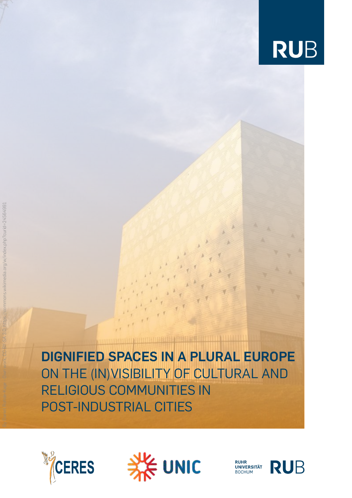

**DIGNIFIED SPACES IN A PLURAL EUROPE** ON THE (IN)VISIBILITY OF CULTURAL AND RELIGIOUS COMMUNITIES IN POST-INDUSTRIAL CITIES



By Daniel Rohde-Kage - Own work, CC BY-SA 3.0, https://commons.wikimedia.org/w/index.php?curid=24564991



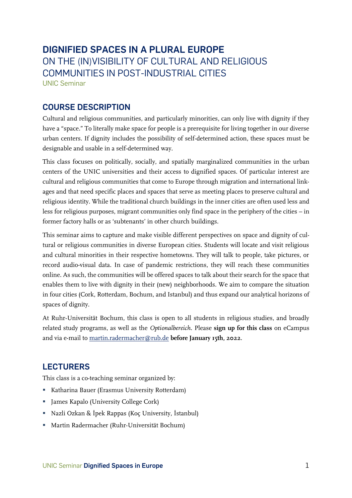# **DIGNIFIED SPACES IN A PLURAL EUROPE** ON THE (IN)VISIBILITY OF CULTURAL AND RELIGIOUS COMMUNITIES IN POST-INDUSTRIAL CITIES [UNIC](https://unic.eu/en) Seminar

# **COURSE DESCRIPTION**

Cultural and religious communities, and particularly minorities, can only live with dignity if they have a "space." To literally make space for people is a prerequisite for living together in our diverse urban centers. If dignity includes the possibility of self-determined action, these spaces must be designable and usable in a self-determined way.

This class focuses on politically, socially, and spatially marginalized communities in the urban centers of the UNIC universities and their access to dignified spaces. Of particular interest are cultural and religious communities that come to Europe through migration and international linkages and that need specific places and spaces that serve as meeting places to preserve cultural and religious identity. While the traditional church buildings in the inner cities are often used less and less for religious purposes, migrant communities only find space in the periphery of the cities – in former factory halls or as 'subtenants' in other church buildings.

This seminar aims to capture and make visible different perspectives on space and dignity of cultural or religious communities in diverse European cities. Students will locate and visit religious and cultural minorities in their respective hometowns. They will talk to people, take pictures, or record audio-visual data. In case of pandemic restrictions, they will reach these communities online. As such, the communities will be offered spaces to talk about their search for the space that enables them to live with dignity in their (new) neighborhoods. We aim to compare the situation in four cities (Cork, Rotterdam, Bochum, and Istanbul) and thus expand our analytical horizons of spaces of dignity.

At Ruhr-Universität Bochum, this class is open to all students in religious studies, and broadly related study programs, as well as the *Optionalbereich*. Please **sign up for this class** on eCampus and via e-mail to [martin.radermacher@rub.de](mailto:martin.radermacher@rub.de) **before January 15th, 2022**.

# **LECTURERS**

This class is a co-teaching seminar organized by:

- **EXA** Katharina Bauer (Erasmus University Rotterdam)
- **•** James Kapalo (University College Cork)
- Nazli Ozkan & İpek Rappas (Koç University, İstanbul)
- Martin Radermacher (Ruhr-Universität Bochum)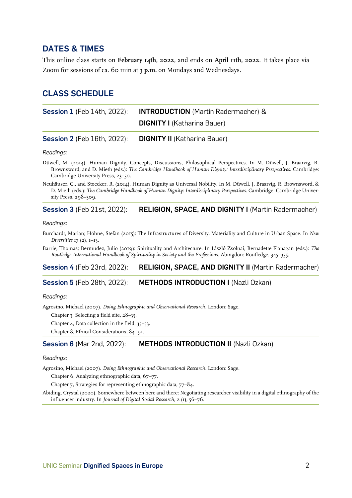## **DATES & TIMES**

This online class starts on **February 14th, 2022**, and ends on **April 11th, 2022**. It takes place via Zoom for sessions of ca. 60 min at **3 p.m.** on Mondays and Wednesdays.

## **CLASS SCHEDULE**

| <b>Session 1</b> (Feb 14th, 2022): | <b>INTRODUCTION</b> (Martin Radermacher) & |
|------------------------------------|--------------------------------------------|
|                                    | <b>DIGNITY I</b> (Katharina Bauer)         |

**Session 2** (Feb 16th, 2022): **DIGNITY II** (Katharina Bauer)

*Readings:*

Düwell, M. (2014). Human Dignity. Concepts, Discussions, Philosophical Perspectives. In M. Düwell, J. Braarvig, R. Brownsword, and D. Mieth (eds.): *The Cambridge Handbook of Human Dignity: Interdisciplinary Perspectives*. Cambridge: Cambridge University Press, 23–50.

Neuhäuser, C., and Stoecker, R. (2014). Human Dignity as Universal Nobility. In M. Düwell, J. Braarvig, R. Brownsword, & D. Mieth (eds.): *The Cambridge Handbook of Human Dignity: Interdisciplinary Perspectives*. Cambridge: Cambridge University Press, 298–309.

## **Session 3** (Feb 21st, 2022): **RELIGION, SPACE, AND DIGNITY I** (Martin Radermacher)

*Readings:*

Burchardt, Marian; Höhne, Stefan (2015): The Infrastructures of Diversity. Materiality and Culture in Urban Space. In *New Diversities* 17 (2), 1–13.

Barrie, Thomas; Bermudez, Julio (2019): Spirituality and Architecture. In László Zsolnai, Bernadette Flanagan (eds.): *The Routledge International Handbook of Spirituality in Society and the Professions*. Abingdon: Routledge, 345–355.

## **Session 4** (Feb 23rd, 2022): **RELIGION, SPACE, AND DIGNITY II** (Martin Radermacher)

## **Session 5** (Feb 28th, 2022): **METHODS INTRODUCTION I** (Nazli Ozkan)

### *Readings:*

Agrosino, Michael (2007). *Doing Ethnographic and Observational Research*. London: Sage.

Chapter 3, Selecting a field site, 28–35.

Chapter 4, Data collection in the field, 35–53.

Chapter 8, Ethical Considerations, 84–91.

## **Session 6** (Mar 2nd, 2022): **METHODS INTRODUCTION II** (Nazli Ozkan)

#### *Readings:*

Agrosino, Michael (2007). *Doing Ethnographic and Observational Research*. London: Sage.

Chapter 6, Analyzing ethnographic data, 67–77.

Chapter 7, Strategies for representing ethnographic data, 77–84.

Abiding, Crystal (2020). Somewhere between here and there: Negotiating researcher visibility in a digital ethnography of the influencer industry. In *Journal of Digital Social Research*, 2 (1), 56–76.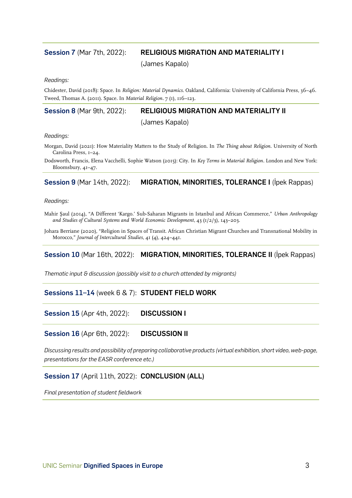## **Session 7** (Mar 7th, 2022): **RELIGIOUS MIGRATION AND MATERIALITY I**

(James Kapalo)

*Readings:*

Chidester, David (2018): Space. In *Religion: Material Dynamics*. Oakland, California: University of California Press, 36–46. Tweed, Thomas A. (2011). Space. In *Material Religion*. 7 (1), 116–123.

## **Session 8** (Mar 9th, 2022): **RELIGIOUS MIGRATION AND MATERIALITY II**

(James Kapalo)

*Readings:*

Morgan, David (2021): How Materiality Matters to the Study of Religion. In *The Thing about Religion*. University of North Carolina Press, 1–24.

Dodsworth, Francis, Elena Vacchelli, Sophie Watson (2015): City. In *Key Terms in Material Religion*. London and New York: Bloomsbury, 41–47.

## **Session 9** (Mar 14th, 2022): **MIGRATION, MINORITIES, TOLERANCE I** (İpek Rappas)

*Readings:*

Mahir Şaul (2014), "A Different 'Kargo.' Sub-Saharan Migrants in Istanbul and African Commerce," *Urban Anthropology and Studies of Cultural Systems and World Economic Development*, 43 (1/2/3), 143–203.

Johara Berriane (2020), "Religion in Spaces of Transit. African Christian Migrant Churches and Transnational Mobility in Morocco," *Journal of Intercultural Studies*, 41 (4), 424–441.

## **Session 10** (Mar 16th, 2022): **MIGRATION, MINORITIES, TOLERANCE II** (İpek Rappas)

*Thematic input & discussion (possibly visit to a church attended by migrants)*

## **Sessions 11–14** (week 6 & 7): **STUDENT FIELD WORK**

**Session 15** (Apr 4th, 2022): **DISCUSSION I**

**Session 16** (Apr 6th, 2022): **DISCUSSION II**

*Discussing results and possibility of preparing collaborative products (virtual exhibition, short video, web-page, presentations for the EASR conference etc.)*

## **Session 17** (April 11th, 2022): **CONCLUSION (ALL)**

*Final presentation of student fieldwork*